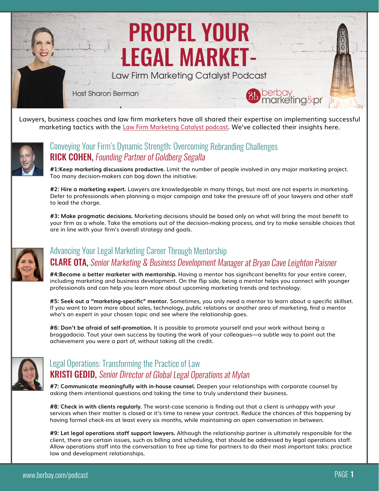# PROPEL YOUR LEGAL MARKET-

Law Firm Marketing Catalyst Podcast

Host Sharon Berman



Lawyers, business coaches and law firm marketers have all shared their expertise on implementing successful marketing tactics with the [Law Firm Marketing Catalyst podcast.](http://bit.ly/BBLFMCpodcast) We've collected their insights here.



### [Conveying Your Firm's Dynamic Strength: Overcoming Rebranding Challenges](http://bit.ly/LFMCrick) **RICK COHEN, Founding Partner of Goldberg Segalla**

**#1:Keep marketing discussions productive.** Limit the number of people involved in any major marketing project. Too many decision-makers can bog down the initiative.

**#2: Hire a marketing expert.** Lawyers are knowledgeable in many things, but most are not experts in marketing. Defer to professionals when planning a major campaign and take the pressure off of your lawyers and other staff to lead the charge.

**#3: Make pragmatic decisions.** Marketing decisions should be based only on what will bring the most benefit to your firm as a whole. Take the emotions out of the decision-making process, and try to make sensible choices that are in line with your firm's overall strategy and goals.



## [Advancing Your Legal Marketing Career Through Mentorship](http://bit.ly/LFMCclare) CLARE OTA, Senior Marketing & Business Development Manager at Bryan Cave Leighton Paisner

**#4:Become a better marketer with mentorship.** Having a mentor has significant benefits for your entire career, including marketing and business development. On the flip side, being a mentor helps you connect with younger professionals and can help you learn more about upcoming marketing trends and technology.

**#5: Seek out a "marketing-specific" mentor.** Sometimes, you only need a mentor to learn about a specific skillset. If you want to learn more about sales, technology, public relations or another area of marketing, find a mentor who's an expert in your chosen topic and see where the relationship goes.

**#6: Don't be afraid of self-promotion.** It is possible to promote yourself and your work without being a braggadocio. Tout your own success by touting the work of your colleagues—a subtle way to point out the achievement you were a part of, without taking all the credit.



## **KRISTI GEDID, Senior Director of Global Legal Operations at Mylan** [Legal Operations: Transforming the Practice of Law](http://bit.ly/LFMCkristi)

**#7: Communicate meaningfully with in-house counsel.** Deepen your relationships with corporate counsel by asking them intentional questions and taking the time to truly understand their business.

**#8: Check in with clients regularly.** The worst-case scenario is finding out that a client is unhappy with your services when their matter is closed or it's time to renew your contract. Reduce the chances of this happening by having formal check-ins at least every six months, while maintaining an open conversation in between.

**#9: Let legal operations staff support lawyers.** Although the relationship partner is ultimately responsible for the client, there are certain issues, such as billing and scheduling, that should be addressed by legal operations staff. Allow operations staff into the conversation to free up time for partners to do their most important taks: practice law and development relationships.